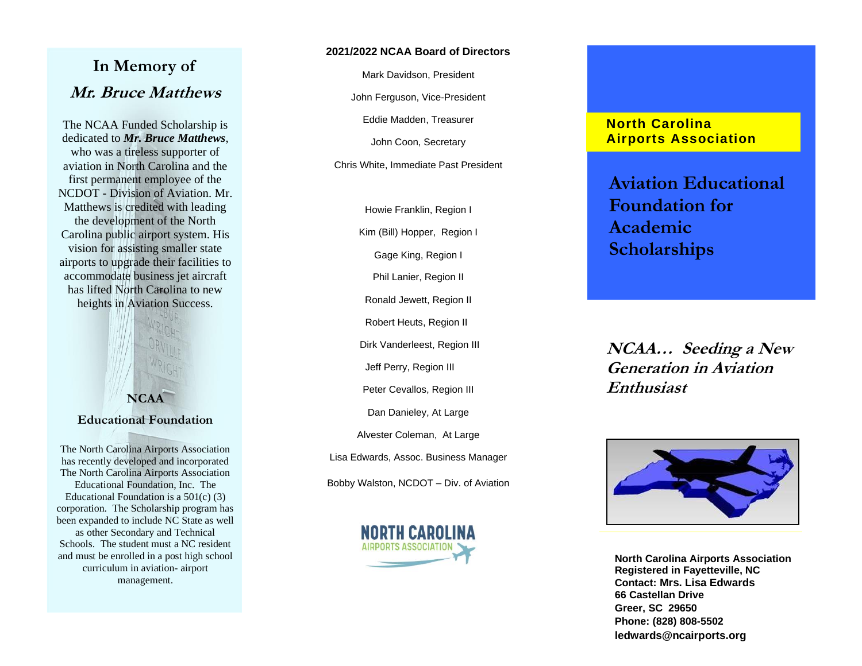# **In Memory of Mr. Bruce Matthews**

The NCAA Funded Scholarship is dedicated to *Mr. Bruce Matthews*, who was a tireless supporter of aviation in North Carolina and the first permanent employee of the NCDOT - Division of Aviation. Mr. Matthews is credited with leading the development of the North Carolina public airport system. His vision for assisting smaller state airports to upgrade their facilities to accommodate business jet aircraft has lifted North Carolina to new heights in Aviation Success.



### **Educational Foundation**

The North Carolina Airports Association has recently developed and incorporated The North Carolina Airports Association Educational Foundation, Inc. The Educational Foundation is a 501(c) (3) corporation. The Scholarship program has been expanded to include NC State as well as other Secondary and Technical Schools. The student must a NC resident and must be enrolled in a post high school curriculum in aviation - airport management .

#### **2 0 2 1/20 2 2 NCAA Board of Directors**

Mark Davidson, President

John Ferguson , Vice -President

Eddie Madden, Treasurer

John Coon, Secretary

Chris White, Immediate Past President

Howie Franklin, Region I Kim (Bill) Hopper, Region I Gage King, Region I Phil Lanier, Region II Ronald Jewett, Region II Robert Heuts, Region II Dirk Vanderleest, Region III Jeff Perry, Region III Peter Cevallos, Region III Dan Danieley, At Large Alvester Coleman, At Large Lisa Edwards, Assoc. Business Manager Bobby Walston, NCDOT – Div. of Aviation



## **North Carolina Airport s Association**

**Aviation Educational Foundation for Academic Scholarships** 

**NCAA… Seeding a New Generation in Aviation Enthusiast** 



**North Carolina Airports Association Registered in Fayetteville, NC Contact: Mrs. Lisa Edwards 66 Castellan Drive Greer, SC 29650 Phone: (828) 808 -5502 ledwards@ncairports.or[g](http://www.ncairports.org/contact.aspx?con=26)**